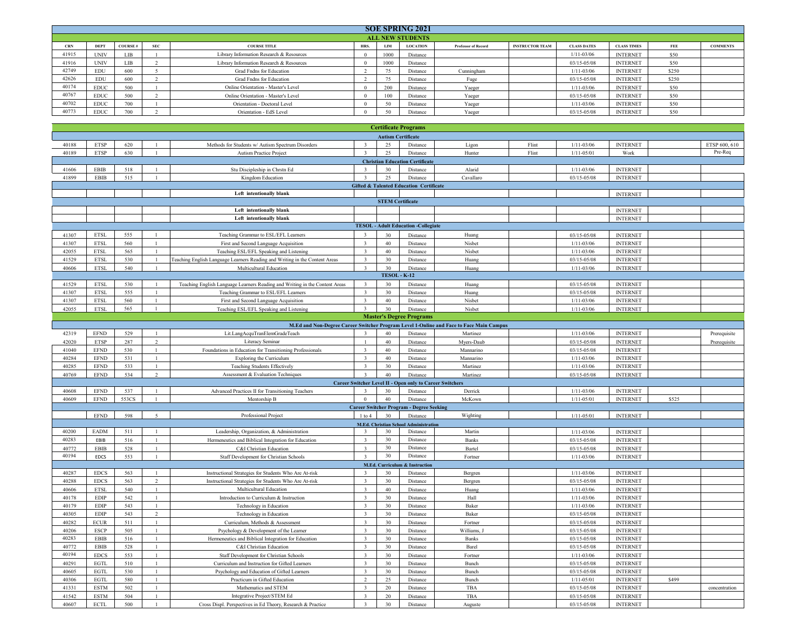|            | <b>SOE SPRING 2021</b>  |                |            |                                          |      |            |                 |                            |                        |                    |                    |            |                 |
|------------|-------------------------|----------------|------------|------------------------------------------|------|------------|-----------------|----------------------------|------------------------|--------------------|--------------------|------------|-----------------|
|            | <b>ALL NEW STUDENTS</b> |                |            |                                          |      |            |                 |                            |                        |                    |                    |            |                 |
| <b>CRN</b> | DEP.                    | <b>COURSE#</b> | <b>SEC</b> | <b>COURSE TITLE</b>                      | HRS. | <b>LIM</b> | <b>LOCATION</b> | <b>Professor of Record</b> | <b>INSTRUCTOR TEAM</b> | <b>CLASS DATES</b> | <b>CLASS TIMES</b> | <b>FEE</b> | <b>COMMENTS</b> |
| 41915      | <b>UNIV</b>             | LIB            |            | Library Information Research & Resources |      | 1000       | Distance        |                            |                        | $1/11 - 03/06$     | <b>INTERNET</b>    | \$50       |                 |
| 41916      | <b>UNIV</b>             | <b>LIB</b>     |            | Library Information Research & Resources |      | 1000       | Distance        |                            |                        | $03/15 - 05/08$    | <b>INTERNET</b>    | \$50       |                 |
| 42749      | <b>EDU</b>              | 600            |            | Grad Fndns for Education                 |      | 75         | Distance        | Cunningham                 |                        | $1/11 - 03/06$     | <b>INTERNET</b>    | \$250      |                 |
| 42626      | <b>EDU</b>              | 600            |            | Grad Fndns for Education                 |      | 75         | Distance        | Fuge                       |                        | $03/15 - 05/08$    | <b>INTERNET</b>    | \$250      |                 |
| 40174      | <b>EDUC</b>             | 500            |            | Online Orientation - Master's Level      |      | 200        | Distance        | Yaeger                     |                        | $1/11 - 03/06$     | <b>INTERNET</b>    | \$50       |                 |
| 40767      | <b>EDUC</b>             | 500            |            | Online Orientation - Master's Level      |      | 100        | Distance        | Yaeger                     |                        | $03/15 - 05/08$    | <b>INTERNET</b>    | \$50       |                 |
| 40702      | <b>EDUC</b>             | 700            |            | Orientation - Doctoral Level             |      | 50         | Distance        | Yaeger                     |                        | $1/11 - 03/06$     | <b>INTERNET</b>    | \$50       |                 |
| 40773      | <b>EDUC</b>             | 700            |            | Orientation - EdS Level                  |      | 50         | Distance        | Yaeger                     |                        | $03/15 - 05/08$    | <b>INTERNET</b>    | \$50       |                 |

|                           |             |       |                |                                                                             |                         |            | <b>Certificate Programs</b>                              |                                                                                         |       |                 |                 |       |               |
|---------------------------|-------------|-------|----------------|-----------------------------------------------------------------------------|-------------------------|------------|----------------------------------------------------------|-----------------------------------------------------------------------------------------|-------|-----------------|-----------------|-------|---------------|
| <b>Autism Certificate</b> |             |       |                |                                                                             |                         |            |                                                          |                                                                                         |       |                 |                 |       |               |
| 40188                     | <b>ETSP</b> | 620   | $\overline{1}$ | Methods for Students w/ Autism Spectrum Disorders                           | $\overline{3}$          | 25         | Distance                                                 | Ligon                                                                                   | Flint | $1/11 - 03/06$  | <b>INTERNET</b> |       | ETSP 600, 610 |
| 40189                     | <b>ETSP</b> | 630   | $\overline{1}$ | Autism Practice Project                                                     | $\overline{3}$          | 25         | Distance                                                 | Hunter                                                                                  | Flint | $1/11 - 05/01$  | Work            |       | Pre-Req       |
|                           |             |       |                |                                                                             |                         |            | <b>Christian Education Certificate</b>                   |                                                                                         |       |                 |                 |       |               |
| 41606                     | <b>EBIB</b> | 518   | $\mathbf{1}$   | Stu Discipleship in Chrstn Ed                                               | $\overline{3}$          | 30         | Distance                                                 | Alarid                                                                                  |       | $1/11 - 03/06$  | <b>INTERNET</b> |       |               |
| 41899                     | <b>EBIB</b> | 515   | $\mathbf{1}$   | Kingdom Education                                                           | $\overline{3}$          | 25         | Distance                                                 | Cavallaro                                                                               |       | 03/15-05/08     | <b>INTERNET</b> |       |               |
|                           |             |       |                |                                                                             |                         |            | <b>Gifted &amp; Talented Education Certificate</b>       |                                                                                         |       |                 |                 |       |               |
|                           |             |       |                | Left intentionally blank                                                    |                         |            |                                                          |                                                                                         |       |                 | <b>INTERNET</b> |       |               |
| <b>STEM Certificate</b>   |             |       |                |                                                                             |                         |            |                                                          |                                                                                         |       |                 |                 |       |               |
|                           |             |       |                | Left intentionally blank                                                    |                         |            |                                                          |                                                                                         |       |                 | <b>INTERNET</b> |       |               |
|                           |             |       |                | Left intentionally blank                                                    |                         |            |                                                          |                                                                                         |       |                 | <b>INTERNET</b> |       |               |
|                           |             |       |                |                                                                             |                         |            | <b>TESOL - Adult Education -Collegiate</b>               |                                                                                         |       |                 |                 |       |               |
| 41307                     | <b>ETSL</b> | 555   | $\mathbf{1}$   | Teaching Grammar to ESL/EFL Learners                                        | $\overline{\mathbf{3}}$ | 30         |                                                          | Huang                                                                                   |       | 03/15-05/08     | <b>INTERNET</b> |       |               |
| 41307                     |             |       | $\overline{1}$ |                                                                             | $\overline{\mathbf{3}}$ | 40         | Distance                                                 |                                                                                         |       | $1/11 - 03/06$  | <b>INTERNET</b> |       |               |
|                           | <b>ETSI</b> | 560   |                | First and Second Language Acquisition                                       |                         | 40         | Distance                                                 | Nisbet                                                                                  |       |                 |                 |       |               |
| 42055                     | <b>ETSL</b> | 565   | $\mathbf{1}$   | Teaching ESL/EFL Speaking and Listening                                     | $\overline{3}$          |            | Distance                                                 | Nisbet                                                                                  |       | $1/11 - 03/06$  | <b>INTERNET</b> |       |               |
| 41529                     | <b>ETSL</b> | 530   | $\overline{1}$ | Teaching English Language Learners Reading and Writing in the Content Areas | $\overline{\mathbf{3}}$ | 30         | Distance                                                 | Huang                                                                                   |       | 03/15-05/08     | <b>INTERNET</b> |       |               |
| 40606                     | <b>ETSL</b> | 540   | $\mathbf{1}$   | Multicultural Education                                                     | $\overline{\mathbf{3}}$ | 30         | Distance<br><b>TESOL - K-12</b>                          | Huang                                                                                   |       | $1/11 - 03/06$  | <b>INTERNET</b> |       |               |
|                           |             |       |                |                                                                             |                         |            |                                                          |                                                                                         |       |                 |                 |       |               |
| 41529                     | <b>ETSL</b> | 530   | $\overline{1}$ | Teaching English Language Learners Reading and Writing in the Content Areas | $\overline{3}$          | 30         | Distance                                                 | Huang                                                                                   |       | 03/15-05/08     | <b>INTERNET</b> |       |               |
| 41307                     | <b>ETSL</b> | 555   | $\overline{1}$ | Teaching Grammar to ESL/EFL Learners                                        | $\overline{3}$          | 30         | Distance                                                 | Huang                                                                                   |       | $03/15 - 05/08$ | <b>INTERNET</b> |       |               |
| 41307                     | <b>ETSL</b> | 560   | $\overline{1}$ | First and Second Language Acquisition                                       | $\overline{3}$          | 40         | Distance                                                 | Nisbet                                                                                  |       | $1/11 - 03/06$  | <b>INTERNET</b> |       |               |
| 42055                     | <b>ETSL</b> | 565   | $\overline{1}$ | Teaching ESL/EFL Speaking and Listening                                     | $\overline{\mathbf{3}}$ | 30         | Distance                                                 | Nisbet                                                                                  |       | $1/11 - 03/06$  | <b>INTERNET</b> |       |               |
|                           |             |       |                |                                                                             |                         |            | <b>Master's Degree Programs</b>                          |                                                                                         |       |                 |                 |       |               |
|                           |             |       |                |                                                                             |                         |            |                                                          | M.Ed and Non-Degree Career Switcher Program Level 1-Online and Face to Face Main Campus |       |                 |                 |       |               |
| 42319                     | <b>EFND</b> | 529   | $\overline{1}$ | Lit.LangAcquTranElemGradeTeach                                              | $\mathbf{3}$            | 40         | Distance                                                 | Martinez                                                                                |       | $1/11 - 03/06$  | <b>INTERNET</b> |       | Prerequisite  |
| 42020                     | <b>ETSP</b> | 287   | $\overline{c}$ | Literacy Seminar                                                            | $\overline{1}$          | 40         | Distance                                                 | Myers-Daub                                                                              |       | 03/15-05/08     | <b>INTERNET</b> |       | Prerequisite  |
| 41040                     | <b>EFND</b> | 530   | $\overline{1}$ | Foundations in Education for Transitioning Professionals                    | $\overline{\mathbf{3}}$ | 40         | Distance                                                 | Mannarino                                                                               |       | 03/15-05/08     | <b>INTERNET</b> |       |               |
| 40284                     | <b>EFND</b> | 531   | $\mathbf{1}$   | Exploring the Curriculum                                                    | $\overline{\mathbf{3}}$ | 40         | Distance                                                 | Mannarino                                                                               |       | $1/11 - 03/06$  | <b>INTERNET</b> |       |               |
| 40285                     | <b>EFND</b> | 533   |                | <b>Teaching Students Effectively</b>                                        | $\overline{3}$          | 30         | Distance                                                 | Martinez                                                                                |       | $1/11 - 03/06$  | <b>INTERNET</b> |       |               |
| 40769                     | <b>EFND</b> | 534   | 2              | Assessment & Evaluation Techniques                                          | $\overline{3}$          | 40         | Distance                                                 | Martinez                                                                                |       | 03/15-05/08     | <b>INTERNET</b> |       |               |
|                           |             |       |                |                                                                             |                         |            | Career Switcher Level II - Open only to Career Switchers |                                                                                         |       |                 |                 |       |               |
| 40608                     | <b>EFND</b> | 537   | $\overline{1}$ | Advanced Practices II for Transitioning Teachers                            | $\mathbf{3}$            | 30         | Distance                                                 | Derrick                                                                                 |       | $1/11 - 03/06$  | <b>INTERNET</b> |       |               |
| 40609                     | <b>EFND</b> | 553CS | $\mathbf{1}$   | Mentorship B                                                                | $\mathbf{0}$            | 40         | Distance                                                 | McKown                                                                                  |       | $1/11 - 05/01$  | <b>INTERNET</b> | \$525 |               |
|                           |             |       |                |                                                                             |                         |            | <b>Career Switcher Program - Degree Seeking</b>          |                                                                                         |       |                 |                 |       |               |
|                           | <b>EFND</b> | 598   | 5              | Professional Project                                                        | $1$ to $4$              | 30         | Distance                                                 | Wighting                                                                                |       | $1/11 - 05/01$  | <b>INTERNET</b> |       |               |
|                           |             |       |                |                                                                             | M.Ed. Chi               | istian Sch | Administratio                                            |                                                                                         |       |                 |                 |       |               |
| 40200                     | <b>EADM</b> | 511   | $\overline{1}$ | Leadership, Organization, & Administration                                  | $\overline{\mathbf{3}}$ | 30         | Distance                                                 | Martin                                                                                  |       | $1/11 - 03/06$  | <b>INTERNET</b> |       |               |
| 40283                     | EBIB        | 516   | $\mathbf{1}$   | Hermeneutics and Biblical Integration for Education                         | $\overline{\mathbf{3}}$ | 30         | Distance                                                 | Banks                                                                                   |       | 03/15-05/08     | <b>INTERNET</b> |       |               |
| 40772                     | <b>EBIB</b> | 528   | $\mathbf{1}$   | C&I Christian Education                                                     | $\overline{3}$          | 30         | Distance                                                 | Bartel                                                                                  |       | 03/15-05/08     | <b>INTERNET</b> |       |               |
| 40194                     | <b>EDCS</b> | 553   | $\overline{1}$ | Staff Development for Christian Schools                                     | $\overline{3}$          | 30         | Distance                                                 | Fortner                                                                                 |       | $1/11 - 03/06$  | <b>INTERNET</b> |       |               |
|                           |             |       |                |                                                                             |                         |            | M.Ed. Curriculum & Instruction                           |                                                                                         |       |                 |                 |       |               |
| 40287                     | <b>EDCS</b> | 563   | $\mathbf{1}$   | Instructional Strategies for Students Who Are At-risk                       | $\overline{3}$          | 30         | Distance                                                 | Bergren                                                                                 |       | $1/11 - 03/06$  | <b>INTERNET</b> |       |               |
| 40288                     | <b>EDCS</b> | 563   | $\overline{2}$ | Instructional Strategies for Students Who Are At-risk                       | $\overline{3}$          | 30         | Distance                                                 | Bergren                                                                                 |       | 03/15-05/08     | <b>INTERNET</b> |       |               |
| 40606                     | <b>ETSL</b> | 540   | $\mathbf{1}$   | Multicultural Education                                                     | $\overline{3}$          | 40         | Distance                                                 | Huang                                                                                   |       | $1/11 - 03/06$  | <b>INTERNET</b> |       |               |
| 40178                     | <b>EDIP</b> | 542   | $\overline{1}$ | Introduction to Curriculum & Instruction                                    | $\overline{3}$          | 30         | Distance                                                 | Hall                                                                                    |       | $1/11 - 03/06$  | <b>INTERNET</b> |       |               |
| 40179                     | <b>EDIP</b> | 543   | $\mathbf{1}$   | Technology in Education                                                     | $\overline{\mathbf{3}}$ | 30         | Distance                                                 | Baker                                                                                   |       | $1/11 - 03/06$  | <b>INTERNET</b> |       |               |
| 40305                     | <b>EDIP</b> | 543   | $\overline{2}$ |                                                                             | $\overline{3}$          | 30         |                                                          | Baker                                                                                   |       | 03/15-05/08     | <b>INTERNET</b> |       |               |
| 40282                     | <b>ECUR</b> | 511   | $\overline{1}$ | Technology in Education<br>Curriculum, Methods & Assessment                 | $\overline{3}$          | 30         | Distance<br>Distance                                     | Fortner                                                                                 |       | 03/15-05/08     | <b>INTERNET</b> |       |               |
| 40206                     | <b>ESCP</b> | 505   | $\mathbf{1}$   | Psychology & Development of the Learner                                     | $\overline{3}$          | 30         | Distance                                                 | Williams, J                                                                             |       | 03/15-05/08     | <b>INTERNET</b> |       |               |
| 40283                     | <b>EBIB</b> | 516   | $\overline{1}$ |                                                                             | $\overline{3}$          | 30         | Distance                                                 | Banks                                                                                   |       | 03/15-05/08     | <b>INTERNET</b> |       |               |
| 40772                     | <b>EBIB</b> | 528   | $\mathbf{1}$   | Hermeneutics and Biblical Integration for Education                         | $\overline{\mathbf{3}}$ | 30         |                                                          |                                                                                         |       | 03/15-05/08     | <b>INTERNET</b> |       |               |
| 40194                     | <b>EDCS</b> | 553   |                | C&I Christian Education                                                     | $\overline{3}$          |            | Distance                                                 | Barel                                                                                   |       |                 |                 |       |               |
|                           |             |       | $\mathbf{1}$   | Staff Development for Christian Schools                                     | $\overline{\mathbf{3}}$ | 30<br>30   | Distance                                                 | Fortner                                                                                 |       | $1/11 - 03/06$  | <b>INTERNET</b> |       |               |
| 40291                     | <b>EGTL</b> | 510   | $\mathbf{1}$   | Curriculum and Instruction for Gifted Learners                              |                         |            | Distance                                                 | Bunch                                                                                   |       | 03/15-05/08     | <b>INTERNET</b> |       |               |
| 40605                     | <b>EGTL</b> | 530   | $\overline{1}$ | Psychology and Education of Gifted Learners                                 | $\overline{3}$          | 30         | Distance                                                 | Bunch                                                                                   |       | 03/15-05/08     | <b>INTERNET</b> |       |               |
| 40306                     | <b>EGTL</b> | 580   | $\mathbf{1}$   | Practicum in Gifted Education                                               | $\overline{c}$          | 25         | Distance                                                 | Bunch                                                                                   |       | $1/11 - 05/01$  | <b>INTERNET</b> | \$499 |               |
| 41331                     | <b>ESTM</b> | 502   | $\overline{1}$ | Mathematics and STEM                                                        | $\overline{3}$          | 20         | Distance                                                 | TBA                                                                                     |       | $03/15 - 05/08$ | <b>INTERNET</b> |       | concentration |
| 41542                     | <b>ESTM</b> | 504   | $\overline{1}$ | Integrative Project/STEM Ed                                                 | $\overline{3}$          | 20         | Distance                                                 | <b>TBA</b>                                                                              |       | 03/15-05/08     | <b>INTERNET</b> |       |               |
| 40607                     | <b>ECTL</b> | 500   | $\mathbf{1}$   | Cross Displ. Perspectives in Ed Theory, Research & Practice                 | $\mathbf{3}$            | 30         | Distance                                                 | Auguste                                                                                 |       | $03/15 - 05/08$ | <b>INTERNET</b> |       |               |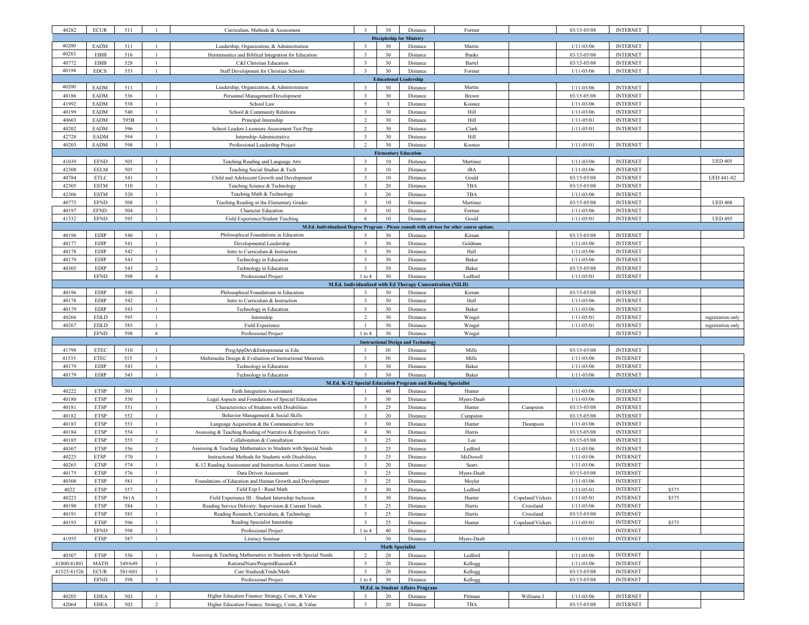| 40282                            | $\ensuremath{\mathsf{ECUR}}$                              | 511            |                                  | Curriculum, Methods & Assessment                                                                                     | $\overline{3}$                            | 30                     | Distance                                   | Fortner                                                                                     |                  | 03/15-05/08                      | <b>INTERNET</b>                    |       |                   |
|----------------------------------|-----------------------------------------------------------|----------------|----------------------------------|----------------------------------------------------------------------------------------------------------------------|-------------------------------------------|------------------------|--------------------------------------------|---------------------------------------------------------------------------------------------|------------------|----------------------------------|------------------------------------|-------|-------------------|
| <b>Discipleship for Ministry</b> |                                                           |                |                                  |                                                                                                                      |                                           |                        |                                            |                                                                                             |                  |                                  |                                    |       |                   |
| 40200                            | <b>EADM</b>                                               | 511            | $\overline{1}$                   | Leadership, Organization, & Administration                                                                           | $\overline{3}$                            | 30                     | Distance                                   | Martin                                                                                      |                  | $1/11 - 03/06$                   | <b>INTERNET</b>                    |       |                   |
| 40283                            | <b>EBIB</b>                                               | 516            | $\overline{1}$                   | Hermeneutics and Biblical Integration for Education                                                                  | $\overline{\mathbf{3}}$                   | 30                     | Distance                                   | Banks                                                                                       |                  | 03/15-05/08                      | <b>INTERNET</b>                    |       |                   |
| 40772                            | EBIB                                                      | 528            | 1                                | C&I Christian Education                                                                                              | $\overline{\mathbf{3}}$                   | 30                     | Distance                                   | Bartel                                                                                      |                  | 03/15-05/08                      | <b>INTERNET</b>                    |       |                   |
| 40194                            | <b>EDCS</b>                                               | 553            | $\overline{1}$                   | Staff Development for Christian Schools                                                                              | $\overline{3}$                            | 30                     | Distance                                   | Fortner                                                                                     |                  | $1/11 - 03/06$                   | <b>INTERNET</b>                    |       |                   |
| <b>Educational Leadership</b>    |                                                           |                |                                  |                                                                                                                      |                                           |                        |                                            |                                                                                             |                  |                                  |                                    |       |                   |
| 40200                            | <b>EADM</b>                                               | 511            | $\mathbf{1}$                     | Leadership, Organization, & Administration                                                                           | $\overline{\mathbf{3}}$                   | 30                     | Distance                                   | Martin                                                                                      |                  | $1/11 - 03/06$                   | <b>INTERNET</b>                    |       |                   |
| 40186                            | <b>EADM</b>                                               | 536            |                                  | Personnel Management/Development                                                                                     | $\overline{\mathbf{3}}$                   | 30                     | Distance                                   | Brown                                                                                       |                  | 03/15-05/08                      | <b>INTERNET</b>                    |       |                   |
| 41992<br>40199                   | <b>EADM</b><br><b>EADM</b>                                | 538<br>540     | $\mathbf{1}$                     | School Law<br>School & Community Relations                                                                           | 5<br>$\overline{\mathbf{3}}$              | $\overline{3}$<br>30   | Distance                                   | Koonce<br>Hill                                                                              |                  | $1/11 - 03/06$<br>$1/11 - 03/06$ | <b>INTERNET</b><br><b>INTERNET</b> |       |                   |
| 40603                            | <b>EADM</b>                                               | 595B           |                                  | Principal Internship                                                                                                 | $\overline{2}$                            | 30                     | Distance<br>Distance                       | Hill                                                                                        |                  | $1/11 - 05/01$                   | <b>INTERNET</b>                    |       |                   |
| 40202                            | <b>EADM</b>                                               | 596            |                                  | School Leaders Licensure Assessment Test Prep                                                                        | $\overline{2}$                            | 30                     | Distance                                   | Clark                                                                                       |                  | $1/11 - 05/01$                   | <b>INTERNET</b>                    |       |                   |
| 42728                            | <b>EADM</b>                                               | 594            | -1                               | Internship-Administrative                                                                                            | $\overline{\mathbf{3}}$                   | 30                     | Distance                                   | Hill                                                                                        |                  |                                  |                                    |       |                   |
| 40203                            | <b>EADM</b>                                               | 598            |                                  | Professional Leadership Project                                                                                      | $\overline{2}$                            | 30                     | Distance                                   | Koonce                                                                                      |                  | $1/11 - 05/01$                   | <b>INTERNET</b>                    |       |                   |
| Elementary<br><b>Education</b>   |                                                           |                |                                  |                                                                                                                      |                                           |                        |                                            |                                                                                             |                  |                                  |                                    |       |                   |
| 41039                            | <b>EFND</b>                                               | 505            | $\mathbf{1}$                     | Teaching Reading and Language Arts                                                                                   | $\overline{3}$                            | 10                     | Distance                                   | Martinez                                                                                    |                  | $1/11 - 03/06$                   | <b>INTERNET</b>                    |       | <b>UED 405</b>    |
| 42308                            | <b>EELM</b>                                               | 505            |                                  | Teaching Social Studies & Tech                                                                                       | $\overline{\mathbf{3}}$                   | 10                     | Distance                                   | tBA                                                                                         |                  | $1/11 - 03/06$                   | <b>INTERNET</b>                    |       |                   |
| 40784                            | <b>ETLC</b>                                               | 541            |                                  | Child and Adolescent Growth and Development                                                                          | $\overline{\mathbf{3}}$                   | 10                     | Distance                                   | Gould                                                                                       |                  | 03/15-05/08                      | <b>INTERNET</b>                    |       | <b>UED 441-02</b> |
| 42305                            | <b>ESTM</b>                                               | 510            | $\mathbf{1}$                     | Teaching Science & Technology                                                                                        | $\overline{\mathbf{3}}$                   | 20                     | Distance                                   | TBA                                                                                         |                  | 03/15-05/08                      | <b>INTERNET</b>                    |       |                   |
| 42306                            | <b>ESTM</b>                                               | 520            |                                  | Teaching Math & Technology                                                                                           | $\overline{\mathbf{3}}$                   | 20                     | Distance                                   | TBA                                                                                         |                  | $1/11 - 03/06$                   | <b>INTERNET</b>                    |       |                   |
| 40775                            | <b>EFND</b>                                               | 508            |                                  | Teaching Reading in the Elementary Grades                                                                            | $\overline{\mathbf{3}}$                   | $10\,$                 | Distance                                   | Martinez                                                                                    |                  | 03/15-05/08                      | <b>INTERNET</b>                    |       | <b>UED 408</b>    |
| 40197                            | <b>EFND</b>                                               | 504            | $\mathbf{1}$                     | <b>Character Education</b>                                                                                           | $\overline{\mathbf{3}}$                   | $10\,$                 | Distance                                   | Fortner                                                                                     |                  | $1/11 - 03/06$                   | <b>INTERNET</b>                    |       |                   |
| 41332                            | <b>EFND</b>                                               | 595            | -1                               | Field Experience/Student Teaching                                                                                    | 6                                         | 10                     | Distance                                   | Gould                                                                                       |                  | $1/11 - 05/01$                   | <b>INTERNET</b>                    |       | <b>UED 495</b>    |
|                                  |                                                           |                | $\overline{1}$                   |                                                                                                                      | $\overline{3}$                            | 30                     |                                            | M.Ed. Individualized Degree Program - Please consult with advisor for other course options. |                  |                                  |                                    |       |                   |
| 40196<br>40177                   | <b>EDIP</b><br><b>EDIP</b>                                | 540<br>541     |                                  | Philosophical Foundations in Education<br>Developmental Leadership                                                   | $\overline{\mathbf{3}}$                   | 30                     | Distance<br>Distance                       | Kirnan<br>Goldman                                                                           |                  | 03/15-05/08<br>$1/11 - 03/06$    | <b>INTERNET</b><br><b>INTERNET</b> |       |                   |
| 40178                            | <b>EDIP</b>                                               | 542            | $\overline{1}$                   | Intro to Curriculum & Instruction                                                                                    | $\overline{\mathbf{3}}$                   | 30                     | Distance                                   | Hall                                                                                        |                  | $1/11 - 03/06$                   | <b>INTERNET</b>                    |       |                   |
| 40179                            | <b>EDIP</b>                                               | 543            | $\overline{1}$                   | Technology in Education                                                                                              | $\overline{\mathbf{3}}$                   | $30\,$                 | Distance                                   | Baker                                                                                       |                  | $1/11 - 03/06$                   | <b>INTERNET</b>                    |       |                   |
| 40305                            | <b>EDIP</b>                                               | 543            | $\overline{2}$                   | Technology in Education                                                                                              | $\overline{\mathbf{3}}$                   | 30                     | Distance                                   | Baker                                                                                       |                  | 03/15-05/08                      | <b>INTERNET</b>                    |       |                   |
|                                  | <b>EFND</b>                                               | 598            | $\overline{4}$                   | Professional Project                                                                                                 | $1$ to $4$                                | 30                     | Distance                                   | Ledford                                                                                     |                  | $1/11 - 05/01$                   | <b>INTERNET</b>                    |       |                   |
|                                  | M.Ed. Individualized with Ed Therapy Concentration (NILD) |                |                                  |                                                                                                                      |                                           |                        |                                            |                                                                                             |                  |                                  |                                    |       |                   |
| 40196                            | <b>EDIP</b>                                               | 540            | $\overline{1}$                   | Philosophical Foundations in Education                                                                               | $\overline{3}$                            | 30                     | Distance                                   | Kirnan                                                                                      |                  | 03/15-05/08                      | <b>INTERNET</b>                    |       |                   |
| 40178                            | <b>EDIP</b>                                               | 542            |                                  | Intro to Curriculum & Instruction                                                                                    | $\overline{\mathbf{3}}$                   | 30                     | Distance                                   | Hall                                                                                        |                  | $1/11 - 03/06$                   | <b>INTERNET</b>                    |       |                   |
| 40179                            | <b>EDIP</b>                                               | 543            | $\mathbf{1}$                     | Technology in Education                                                                                              | $\overline{\mathbf{3}}$                   | 30                     | Distance                                   | Baker                                                                                       |                  | $1/11 - 03/06$                   | <b>INTERNET</b>                    |       |                   |
| 40266                            | <b>EDLD</b>                                               | 595            | $\mathbf{1}$                     | Internship                                                                                                           | $\overline{2}$                            | 30                     | Distance                                   | Winget                                                                                      |                  | $1/11 - 05/01$                   | <b>INTERNET</b>                    |       | registration only |
| 40267                            | <b>EDLD</b>                                               | 585            |                                  | Field Experience                                                                                                     |                                           | 30                     | Distance                                   | Winget                                                                                      |                  | $1/11 - 05/01$                   | <b>INTERNET</b>                    |       | registration only |
|                                  | <b>EFND</b>                                               | 598            | 6                                | Professional Project                                                                                                 | $1$ to $4$                                | 30                     | Distance                                   | Winget                                                                                      |                  |                                  | <b>INTERNET</b>                    |       |                   |
| 41798                            | <b>ETEC</b>                                               | 510            |                                  |                                                                                                                      | $\mathbf{R}$                              | 30                     | <b>Instructional Design and Technology</b> |                                                                                             |                  | 03/15-05/08                      | <b>INTERNET</b>                    |       |                   |
| 41535                            | <b>ETEC</b>                                               | 515            | $\mathbf{1}$                     | ProgAppDev&Entrepreneur in Edu<br>Multimedia Design & Evaluation of Instructional Materials                          | $\overline{\mathbf{3}}$                   | 30                     | Distance<br>Distance                       | Mills<br>Mills                                                                              |                  | $1/11 - 03/06$                   | <b>INTERNET</b>                    |       |                   |
| 40179                            | <b>EDIP</b>                                               | 543            | $\mathbf{1}$                     | Technology in Education                                                                                              | $\overline{\mathbf{3}}$                   | 30                     | Distance                                   | Baker                                                                                       |                  | $1/11 - 03/06$                   | <b>INTERNET</b>                    |       |                   |
| 40179                            | <b>EDIP</b>                                               | 543            |                                  | Technology in Education                                                                                              | $\overline{\mathbf{3}}$                   | 30                     | Distance                                   | Baker                                                                                       |                  | $1/11 - 03/06$                   | <b>INTERNET</b>                    |       |                   |
|                                  |                                                           |                |                                  |                                                                                                                      |                                           |                        |                                            | M.Ed. K-12 Special Education Program and Reading Specialist                                 |                  |                                  |                                    |       |                   |
| 40222                            | <b>ETSP</b>                                               | 501            | $\mathbf{1}$                     | Faith Integration Assessment                                                                                         |                                           | 40                     | Distance                                   | Hunter                                                                                      |                  | $1/11 - 03/06$                   | <b>INTERNET</b>                    |       |                   |
| 40180                            | <b>ETSP</b>                                               | 550            |                                  | Legal Aspects and Foundations of Special Education                                                                   | $\overline{\mathbf{3}}$                   | 30                     | Distance                                   | Myers-Daub                                                                                  |                  | $1/11 - 03/06$                   | <b>INTERNET</b>                    |       |                   |
| 40181                            | <b>ETSP</b>                                               | 551            |                                  | Characteristics of Students with Disabilities                                                                        | $\overline{\mathbf{3}}$                   | 25                     | Distance                                   | Hunter                                                                                      | Cumpston         | 03/15-05/08                      | <b>INTERNET</b>                    |       |                   |
| 40182                            | <b>ETSP</b>                                               | 552            | $\overline{1}$                   | Behavior Management & Social Skills                                                                                  | $\overline{\mathbf{3}}$                   | 20                     | Distance                                   | Cumpston                                                                                    |                  | 03/15-05/08                      | <b>INTERNET</b>                    |       |                   |
| 40183                            | <b>ETSP</b>                                               | 553            | $\mathbf{1}$                     | Language Acquisition & the Communicative Arts                                                                        | $\overline{3}$                            | 30                     | Distance                                   | Hunter                                                                                      | Thompson         | $1/11 - 03/06$                   | <b>INTERNET</b>                    |       |                   |
| 40184                            | <b>ETSP</b>                                               | 554            |                                  | Assessing & Teaching Reading of Narrative & Expository Texts                                                         | $\overline{4}$                            | 30                     | Distance                                   | Harris                                                                                      |                  | 03/15-05/08                      | <b>INTERNET</b>                    |       |                   |
| 40185                            | <b>ETSP</b>                                               | 555            | 2                                | Collaboration & Consultation                                                                                         | $\overline{\mathbf{3}}$                   | 25                     | Distance                                   | Lee                                                                                         |                  | 03/15-05/08                      | <b>INTERNET</b>                    |       |                   |
| 40307                            | <b>ETSP</b>                                               | 556            | $\overline{1}$                   | Assessing & Teaching Mathematics to Students with Special Needs                                                      | $\overline{3}$<br>$\overline{\mathbf{3}}$ | 25                     | Distance                                   | Ledford                                                                                     |                  | $1/11 - 03/06$                   | <b>INTERNET</b><br><b>INTERNET</b> |       |                   |
| 40225<br>40265                   | <b>ETSP</b><br><b>ETSP</b>                                | 570<br>574     |                                  | Instructional Methods for Students with Disabilities<br>K-12 Reading Assessment and Instruction Across Content Areas | $\overline{\mathbf{3}}$                   | 25<br>20               | Distance<br>Distance                       | McDowell<br>Sears                                                                           |                  | $1/11 - 03/06$<br>$1/11 - 03/06$ | <b>INTERNET</b>                    |       |                   |
| 40175                            | <b>ETSP</b>                                               | 576            | -1                               | Data Driven Assessment                                                                                               | $\overline{3}$                            | 25                     | Distance                                   | Myers-Daub                                                                                  |                  | 03/15-05/08                      | <b>INTERNET</b>                    |       |                   |
| 40308                            | ETSP                                                      | 581            |                                  | Foundations of Education and Human Growth and Development                                                            |                                           | 25                     | Distance                                   | Moyler                                                                                      |                  | $1/11 - 03/06$                   | <b>INTERNET</b>                    |       |                   |
| 4022                             | <b>ETSP</b>                                               | 557            | $\mathbf{1}$                     | Field Exp I - Read Math                                                                                              | $\overline{\mathbf{3}}$                   | 30                     | Distance                                   | Ledford                                                                                     |                  | $1/11 - 05/01$                   | <b>INTERNET</b>                    | \$575 |                   |
| 40223                            | <b>ETSP</b>                                               | 561A           |                                  | Field Experience III - Student Internship Inclusion                                                                  | $\overline{3}$                            | 30                     | Distance                                   | Hunter                                                                                      | Copeland/Vickers | $1/11 - 05/01$                   | <b>INTERNET</b>                    | \$575 |                   |
| 40190                            | ETSP                                                      | 584            | -1                               | Reading Service Delivery: Supervision & Current Trends                                                               | $\overline{\mathbf{3}}$                   | 25                     | Distance                                   | Harris                                                                                      | Crossland        | $1/11 - 03/06$                   | <b>INTERNET</b>                    |       |                   |
| 40191                            | <b>ETSP</b>                                               | 585            |                                  | Reading Research, Curriculum, & Technology                                                                           | $\overline{3}$                            | 25                     | Distance                                   | Harris                                                                                      | Crossland        | $03/15 - 05/08$                  | <b>INTERNET</b>                    |       |                   |
| 40193                            | <b>ETSP</b>                                               | 596            | $\mathbf{1}$                     | Reading Specialist Internship                                                                                        | $\overline{3}$                            | 25                     | Distance                                   | Hunter                                                                                      | Copeland/Vickers | $1/11 - 05/01$                   | <b>INTERNET</b>                    | \$575 |                   |
|                                  | <b>EFND</b>                                               | 598            | -1                               | Professional Project                                                                                                 | $1$ to $4$                                | 40                     | Distance                                   |                                                                                             |                  |                                  | <b>INTERNET</b>                    |       |                   |
| 41955                            | <b>ETSP</b>                                               | 587            | $\mathbf{1}$                     | Literacy Seminar                                                                                                     | $\mathbf{1}$                              | 30                     | Distance                                   | Myers-Daub                                                                                  |                  | $1/11 - 05/01$                   | <b>INTERNET</b>                    |       |                   |
|                                  |                                                           |                |                                  |                                                                                                                      |                                           | <b>Math Specialist</b> |                                            |                                                                                             |                  |                                  |                                    |       |                   |
| 40307<br>41800/41801             | <b>ETSP</b><br><b>MATH</b>                                | 556<br>549/649 | $\overline{1}$<br>$\overline{1}$ | Assessing & Teaching Mathematics to Students with Special Needs<br>RationalNum/ProprtnlReasonK8                      | $\overline{c}$<br>$\overline{\mathbf{3}}$ | 20<br>20               | Distance                                   | Ledford                                                                                     |                  | $1/11 - 03/06$<br>$1/11 - 03/06$ | <b>INTERNET</b><br><b>INTERNET</b> |       |                   |
| 41525/41526                      | <b>ECUR</b>                                               | 501/601        | $\mathbf{1}$                     | Curr Studies&Trnds/Math                                                                                              | $\overline{\mathbf{3}}$                   | 20                     | Distance<br>Distance                       | Kellogg<br>Kellogg                                                                          |                  | 03/15-05/08                      | <b>INTERNET</b>                    |       |                   |
|                                  | <b>EFND</b>                                               | 598            | $\overline{3}$                   | Professional Project                                                                                                 | $1$ to $4\,$                              | 30                     | Distance                                   | Kellogg                                                                                     |                  | 03/15-05/08                      | <b>INTERNET</b>                    |       |                   |
|                                  |                                                           |                |                                  |                                                                                                                      |                                           |                        | <b>M.Ed. in Student Affairs Program</b>    |                                                                                             |                  |                                  |                                    |       |                   |
| 40205                            | <b>EHEA</b>                                               | 502            | $\mathbf{1}$                     | Higher Education Finance: Strategy, Costs, & Value                                                                   | $\overline{\mathbf{3}}$                   | 20                     | Distance                                   | Pittman                                                                                     | Williams J       | $1/11 - 03/06$                   | <b>INTERNET</b>                    |       |                   |
| 42064                            | <b>EHEA</b>                                               | 502            | 2                                | Higher Education Finance: Strategy, Costs, & Value                                                                   | $\overline{\mathbf{3}}$                   | 20                     | Distance                                   | TBA                                                                                         |                  | 03/15-05/08                      | <b>INTERNET</b>                    |       |                   |